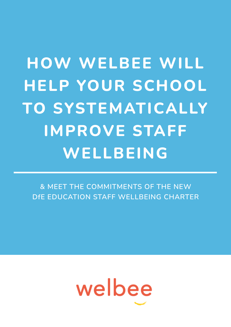# **HOW WELBEE WILL HELP YOUR SCHOOL TO SYSTEMATICALLY IMPROVE STAFF WELLBEING**

**& MEET THE COMMITMENTS OF THE NEW DfE EDUCATION STAFF WELLBEING CHARTER**

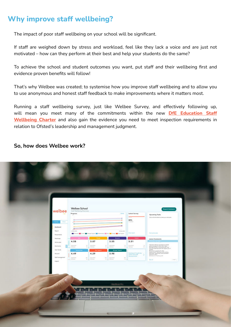# **Why improve staff wellbeing?**

The impact of poor staff wellbeing on your school will be significant.

If staff are weighed down by stress and workload, feel like they lack a voice and are just not motivated – how can they perform at their best and help your students do the same?

To achieve the school and student outcomes you want, put staff and their wellbeing first and evidence proven benefits will follow!

That's why Welbee was created; to systemise how you improve staff wellbeing and to allow you to use anonymous and honest staff feedback to make improvements where it matters most.

Running a staff wellbeing survey, just like Welbee Survey, and effectively following up, will mean you meet many of the commitments within the new **[DfE Education Staff](https://assets.publishing.service.gov.uk/government/uploads/system/uploads/attachment_data/file/984134/Education_staff_wellbeing_charter_2021.pdf) [Wellbeing Charter](https://assets.publishing.service.gov.uk/government/uploads/system/uploads/attachment_data/file/984134/Education_staff_wellbeing_charter_2021.pdf)** and also gain the evidence you need to meet inspection requirements in relation to Ofsted's leadership and management judgment.

#### **So, how does Welbee work?**

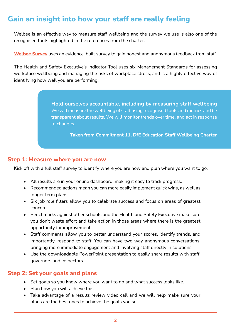# **Gain an insight into how your staff are really feeling**

Welbee is an effective way to measure staff wellbeing and the survey we use is also one of the recognised tools highlighted in the references from the charter.

**[Welbee Survey](https://welbee.co.uk/welbee-survey/?utm_source=BU_welbee_ultimate_guide&utm_medium=lead_magnet&utm_campaign=book_a_demo)** uses an evidence-built survey to gain honest and anonymous feedback from staff.

The Health and Safety Executive's Indicator Tool uses six Management Standards for assessing workplace wellbeing and managing the risks of workplace stress, and is a highly effective way of identifying how well you are performing.

> **Hold ourselves accountable, including by measuring staff wellbeing** We will measure the wellbeing of staff using recognised tools and metrics and be transparent about results. We will monitor trends over time, and act in response to changes.

> > **Taken from Commitment 11, DfE Education Staff Wellbeing Charter**

#### **Step 1: Measure where you are now**

Kick off with a full staff survey to identify where you are now and plan where you want to go.

- All results are in your online dashboard, making it easy to track progress.
- Recommended actions mean you can more easily implement quick wins, as well as longer term plans.
- Six job role filters allow you to celebrate success and focus on areas of greatest concern.
- Benchmarks against other schools and the Health and Safety Executive make sure you don't waste effort and take action in those areas where there is the greatest opportunity for improvement.
- Staff comments allow you to better understand your scores, identify trends, and importantly, respond to staff. You can have two way anonymous conversations, bringing more immediate engagement and involving staff directly in solutions.
- Use the downloadable PowerPoint presentation to easily share results with staff, governors and inspectors.

#### **Step 2: Set your goals and plans**

- Set goals so you know where you want to go and what success looks like.
- Plan how you will achieve this.
- Take advantage of a results review video call and we will help make sure your plans are the best ones to achieve the goals you set.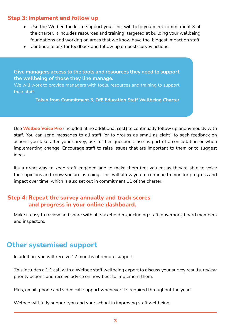#### **Step 3: Implement and follow up**

- Use the Welbee toolkit to support you. This will help you meet commitment 3 of the charter. It includes resources and training targeted at building your wellbeing foundations and working on areas that we know have the biggest impact on staff.
- Continue to ask for feedback and follow up on post-survey actions.

**Give managers access to the tools and resources they need to support the wellbeing of those they line manage.** 

We will work to provide managers with tools, resources and training to support their staff.

**Taken from Commitment 3, DfE Education Staff Wellbeing Charter**

Use **[Welbee Voice Pro](https://welbee.co.uk/welbee-voice/?utm_source=BU_welbee_ultimate_guide&utm_medium=lead_magnet&utm_campaign=book_a_demo)** (included at no additional cost) to continually follow up anonymously with staff. You can send messages to all staff (or to groups as small as eight) to seek feedback on actions you take after your survey, ask further questions, use as part of a consultation or when implementing change. Encourage staff to raise issues that are important to them or to suggest ideas.

It's a great way to keep staff engaged and to make them feel valued, as they're able to voice their opinions and know you are listening. This will allow you to continue to monitor progress and impact over time, which is also set out in commitment 11 of the charter.

#### **Step 4: Repeat the survey annually and track scores and progress in your online dashboard.**

Make it easy to review and share with all stakeholders, including staff, governors, board members and inspectors.

### **Other systemised support**

In addition, you will receive 12 months of remote support.

This includes a 1:1 call with a Welbee staff wellbeing expert to discuss your survey results, review priority actions and receive advice on how best to implement them.

Plus, email, phone and video call support whenever it's required throughout the year!

Welbee will fully support you and your school in improving staff wellbeing.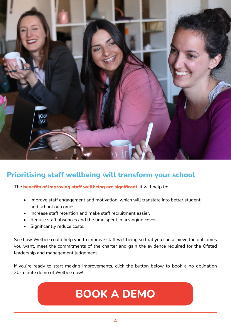

# **Prioritising staff wellbeing will transform your school**

The **[benefits of improving staff wellbeing are significant](https://welbee.co.uk/learning-centre/evidence-for-improving-staff-wellbeing/?utm_source=BU_welbee_ultimate_guide&utm_medium=lead_magnet&utm_campaign=book_a_demo)**, it will help to:

- Improve staff engagement and motivation, which will translate into better student and school outcomes.
- Increase staff retention and make staff recruitment easier.
- Reduce staff absences and the time spent in arranging cover.
- Significantly reduce costs.

See how Welbee could help you to improve staff wellbeing so that you can achieve the outcomes you want, meet the commitments of the charter and gain the evidence required for the Ofsted leadership and management judgement.

If you're ready to start making improvements, click the button below to book a no-obligation 30-minute demo of Welbee now!

# **[BOOK A DEMO](https://schools.welbee.co.uk/meetings/welbee/30-minute-demo?utm_source=BU_welbee_ultimate_guide&utm_medium=lead_magnet&utm_campaign=book_a_demo)**